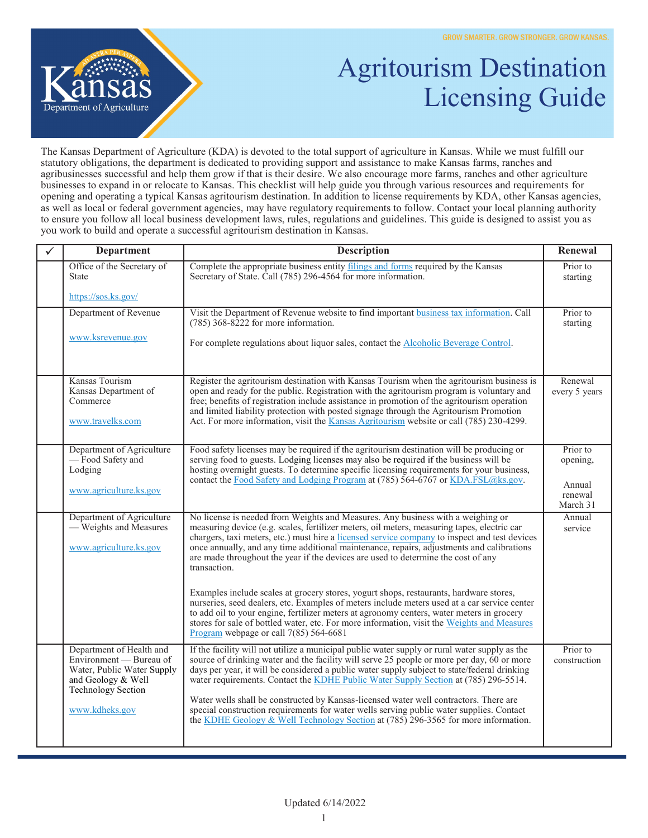

## Agritourism Destination Licensing Guide

The Kansas Department of Agriculture (KDA) is devoted to the total support of agriculture in Kansas. While we must fulfill our statutory obligations, the department is dedicated to providing support and assistance to make Kansas farms, ranches and agribusinesses successful and help them grow if that is their desire. We also encourage more farms, ranches and other agriculture businesses to expand in or relocate to Kansas. This checklist will help guide you through various resources and requirements for opening and operating a typical Kansas agritourism destination. In addition to license requirements by KDA, other Kansas agencies, as well as local or federal government agencies, may have regulatory requirements to follow. Contact your local planning authority to ensure you follow all local business development laws, rules, regulations and guidelines. This guide is designed to assist you as you work to build and operate a successful agritourism destination in Kansas.

| <b>Department</b>                                                                                                                                      | <b>Description</b>                                                                                                                                                                                                                                                                                                                                                                                                                                                                                                                                                                                                                                                | Renewal                                               |
|--------------------------------------------------------------------------------------------------------------------------------------------------------|-------------------------------------------------------------------------------------------------------------------------------------------------------------------------------------------------------------------------------------------------------------------------------------------------------------------------------------------------------------------------------------------------------------------------------------------------------------------------------------------------------------------------------------------------------------------------------------------------------------------------------------------------------------------|-------------------------------------------------------|
| Office of the Secretary of<br><b>State</b>                                                                                                             | Complete the appropriate business entity filings and forms required by the Kansas<br>Secretary of State. Call (785) 296-4564 for more information.                                                                                                                                                                                                                                                                                                                                                                                                                                                                                                                | Prior to<br>starting                                  |
| https://sos.ks.gov/                                                                                                                                    |                                                                                                                                                                                                                                                                                                                                                                                                                                                                                                                                                                                                                                                                   |                                                       |
| Department of Revenue<br>www.ksrevenue.gov                                                                                                             | Visit the Department of Revenue website to find important business tax information. Call<br>$(785)$ 368-8222 for more information.                                                                                                                                                                                                                                                                                                                                                                                                                                                                                                                                | Prior to<br>starting                                  |
|                                                                                                                                                        | For complete regulations about liquor sales, contact the <b>Alcoholic Beverage Control</b> .                                                                                                                                                                                                                                                                                                                                                                                                                                                                                                                                                                      |                                                       |
| Kansas Tourism<br>Kansas Department of<br>Commerce<br>www.travelks.com                                                                                 | Register the agritourism destination with Kansas Tourism when the agritourism business is<br>open and ready for the public. Registration with the agritourism program is voluntary and<br>free; benefits of registration include assistance in promotion of the agritourism operation<br>and limited liability protection with posted signage through the Agritourism Promotion<br>Act. For more information, visit the Kansas Agritourism website or call (785) 230-4299.                                                                                                                                                                                        | Renewal<br>every 5 years                              |
| Department of Agriculture<br>-Food Safety and<br>Lodging<br>www.agriculture.ks.gov                                                                     | Food safety licenses may be required if the agritourism destination will be producing or<br>serving food to guests. Lodging licenses may also be required if the business will be<br>hosting overnight guests. To determine specific licensing requirements for your business,<br>contact the Food Safety and Lodging Program at (785) 564-6767 or KDA.FSL@ks.gov.                                                                                                                                                                                                                                                                                                | Prior to<br>opening,<br>Annual<br>renewal<br>March 31 |
| Department of Agriculture<br>- Weights and Measures<br>www.agriculture.ks.gov                                                                          | No license is needed from Weights and Measures. Any business with a weighing or<br>measuring device (e.g. scales, fertilizer meters, oil meters, measuring tapes, electric car<br>chargers, taxi meters, etc.) must hire a licensed service company to inspect and test devices<br>once annually, and any time additional maintenance, repairs, adjustments and calibrations<br>are made throughout the year if the devices are used to determine the cost of any<br>transaction.                                                                                                                                                                                 | Annual<br>service                                     |
|                                                                                                                                                        | Examples include scales at grocery stores, yogurt shops, restaurants, hardware stores,<br>nurseries, seed dealers, etc. Examples of meters include meters used at a car service center<br>to add oil to your engine, fertilizer meters at agronomy centers, water meters in grocery<br>stores for sale of bottled water, etc. For more information, visit the Weights and Measures<br>Program webpage or call $7(85)$ 564-6681                                                                                                                                                                                                                                    |                                                       |
| Department of Health and<br>Environment — Bureau of<br>Water, Public Water Supply<br>and Geology & Well<br><b>Technology Section</b><br>www.kdheks.gov | If the facility will not utilize a municipal public water supply or rural water supply as the<br>source of drinking water and the facility will serve 25 people or more per day, $60$ or more<br>days per year, it will be considered a public water supply subject to state/federal drinking<br>water requirements. Contact the KDHE Public Water Supply Section at (785) 296-5514.<br>Water wells shall be constructed by Kansas-licensed water well contractors. There are<br>special construction requirements for water wells serving public water supplies. Contact<br>the KDHE Geology & Well Technology Section at $(785)$ 296-3565 for more information. | Prior to<br>construction                              |
|                                                                                                                                                        |                                                                                                                                                                                                                                                                                                                                                                                                                                                                                                                                                                                                                                                                   |                                                       |